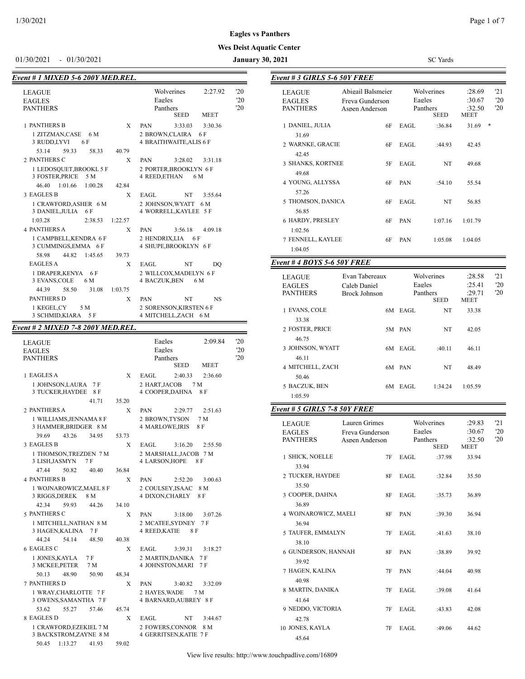#### **Eagles vs Panthers**

#### **Wes Deist Aquatic Center**

01/30/2021 - 01/30/2021 **January 30, 2021** SC Yards

*Event # 3 GIRLS 5-6 50Y FREE*

| Event # 1 MIXED 5-6 200Y MED.REL.                 |                                                                                              |
|---------------------------------------------------|----------------------------------------------------------------------------------------------|
| <b>LEAGUE</b><br><b>EAGLES</b><br><b>PANTHERS</b> | 20<br>Wolverines<br>2:27.92<br>'20<br>Eagles<br>20<br>Panthers<br><b>MEET</b><br><b>SEED</b> |
| <b>1 PANTHERS B</b><br>$\mathbf{x}$               | <b>PAN</b><br>3:30.36<br>3:33.03                                                             |
| 1 ZITZMAN, CASE 6 M<br>3 RUDD,LYVI<br>6 F         | 2 BROWN, CLAIRA<br>6 F<br><b>4 BRAITHWAITE, ALIS 6 F</b>                                     |
| 53.14<br>59.33<br>40.79<br>58.33                  |                                                                                              |
| 2 PANTHERS C<br>X                                 | <b>PAN</b><br>3:28.02<br>3:31.18                                                             |
| 1 LEDOSQUET, BROOKL 5 F<br>3 FOSTER, PRICE<br>5 M | 2 PORTER, BROOKLYN 6 F<br>4 REED, ETHAN<br>6 M                                               |
| 46.40 1:01.66<br>1:00.28<br>42.84                 |                                                                                              |
| 3 EAGLES B<br>X                                   | EAGL.<br>NT<br>3:55.64                                                                       |
| 1 CRAWFORD, ASHER 6 M<br>3 DANIEL, JULIA 6 F      | 2 JOHNSON.WYATT<br>6 M<br>4 WORRELL, KAYLEE 5 F                                              |
| 1:03.28<br>2:38.53<br>1:22.57                     |                                                                                              |
| <b>4 PANTHERS A</b><br>X                          | <b>PAN</b><br>3:56.18<br>4:09.18                                                             |
| 1 CAMPBELL, KENDRA 6 F<br>3 CUMMINGS, EMMA 6 F    | 2 HENDRIX.LIA 6 F<br>4 SHUPE, BROOKLYN 6 F                                                   |
| 58.98<br>44.82<br>1:45.65<br>39.73                |                                                                                              |
| <b>EAGLES A</b><br>X                              | EAGL.<br>NT<br>DO                                                                            |
| 1 DRAPER,KENYA<br>6 F<br>3 EVANS, COLE<br>6 M     | 2 WILLCOX, MADELYN 6 F<br><b>4 BACZUK, BEN</b><br>6 M                                        |
| 58.50<br>44.39<br>31.08<br>1:03.75                |                                                                                              |
| <b>PANTHERS D</b><br>X                            | <b>PAN</b><br>NT<br><b>NS</b>                                                                |
| 1 KEGEL,CY<br>5 M<br>3 SCHMID,KIARA<br>5 F        | 2 SORENSON, KIRSTEN 6 F<br>4 MITCHELL, ZACH 6 M                                              |

#### *Event # 2 MIXED 7-8 200Y MED.REL.*

| <b>LEAGUE</b><br><b>EAGLES</b><br><b>PANTHERS</b>  |       | Eagles<br>2:09.84<br>Eagles<br>Panthers<br><b>SEED</b><br><b>MEET</b> | '20<br>'20<br>'20 |
|----------------------------------------------------|-------|-----------------------------------------------------------------------|-------------------|
| 1 EAGLES A                                         | X     | EAGL<br>2:36.60<br>2:40.33                                            |                   |
| 1 JOHNSON, LAURA<br>7 F<br>3 TUCKER, HAYDEE<br>8 F |       | 2 HART, JACOB<br>7 M<br>4 COOPER, DAHNA<br>8 F                        |                   |
| 41.71                                              | 35.20 |                                                                       |                   |
| 2 PANTHERS A                                       | X     | 2:51.63<br><b>PAN</b><br>2:29.77                                      |                   |
| 1 WILLIAMS, JENNAMA 8 F<br>3 HAMMER, BRIDGER 8 M   |       | 2 BROWN,TYSON<br>7 M<br><b>4 MARLOWE, IRIS</b><br>8 F                 |                   |
| 39.69<br>43.26<br>34.95                            | 53.73 |                                                                       |                   |
| 3 EAGLES B                                         | X     | 3:16.20<br>EAGL<br>2:55.50                                            |                   |
| 1 THOMSON, TREZDEN 7 M<br>3 LISH, JASMYN<br>7 F    |       | 2 MARSHALL, JACOB 7 M<br>4 LARSON, HOPE<br>8 F                        |                   |
| 47.44<br>50.82<br>40.40                            | 36.84 |                                                                       |                   |
| <b>4 PANTHERS B</b>                                | X     | 3:00.63<br><b>PAN</b><br>2:52.20                                      |                   |
| 1 WOJNAROWICZ, MAEL 8 F<br>3 RIGGS, DEREK<br>8 M   |       | 2 COULSEY, ISAAC<br>8 M<br>4 DIXON, CHARLY<br>8 F                     |                   |
| 59.93<br>42.34<br>44.26                            | 34.10 |                                                                       |                   |
| 5 PANTHERS C                                       | X     | <b>PAN</b><br>3:18.00<br>3:07.26                                      |                   |
| 1 MITCHELL, NATHAN 8 M<br>3 HAGEN, KALINA<br>7 F   |       | 2 MCATEE, SYDNEY<br>7 F<br>4 REED, KATIE<br>8 F                       |                   |
| 54.14<br>44.24<br>48.50                            | 40.38 |                                                                       |                   |
| 6 EAGLES C                                         | X     | EAGL<br>3:39.31<br>3:18.27                                            |                   |
| 1 JONES, KAYLA<br>7 F<br>3 MCKEE, PETER<br>7 M     |       | 2 MARTIN, DANIKA<br>7 F<br>4 JOHNSTON, MARI<br>7 F                    |                   |
| 50.13<br>48.90<br>50.90                            | 48.34 |                                                                       |                   |
| <b>7 PANTHERS D</b>                                | X     | PAN<br>3:40.82<br>3:32.09                                             |                   |
| 1 WRAY, CHARLOTTE 7 F<br>3 OWENS, SAMANTHA 7 F     |       | 2 HAYES, WADE<br>7 M<br>4 BARNARD, AUBREY 8 F                         |                   |
| 53.62<br>55.27<br>57.46                            | 45.74 |                                                                       |                   |
| 8 EAGLES D                                         | X     | EAGL<br>NT<br>3:44.67                                                 |                   |
| 1 CRAWFORD, EZEKIEL 7 M<br>3 BACKSTROM, ZAYNE 8 M  |       | 2 FOWERS.CONNOR<br>8 M<br>4 GERRITSEN, KATIE 7 F                      |                   |
| 50.45<br>1:13.27<br>41.93                          | 59.02 |                                                                       |                   |

| LEAGUE<br>EAGLES<br><b>PANTHERS</b>        | Abigail Balsmeier<br>Freva Gunderson<br>Aspen Anderson |    | Eagles  | Wolverines<br>Panthers<br><b>SEED</b> | :28.69<br>:30.67<br>:32.50<br>MEET        | 21<br>$20^{\circ}$<br>$20^{\circ}$ |
|--------------------------------------------|--------------------------------------------------------|----|---------|---------------------------------------|-------------------------------------------|------------------------------------|
| 1 DANIEL, JULIA                            |                                                        | 6F | EAGL    | :36.84                                | 31.69                                     | *                                  |
| 31.69<br>2 WARNKE, GRACIE                  |                                                        | 6F | EAGL    | :44.93                                | 42.45                                     |                                    |
| 42.45<br>3 SHANKS, KORTNEE                 |                                                        | 5F | EAGL    | NT                                    | 49.68                                     |                                    |
| 49.68<br>4 YOUNG, ALLYSSA                  |                                                        | 6F | PAN     | :54.10                                | 55.54                                     |                                    |
| 57.26<br>5 THOMSON, DANICA<br>56.85        |                                                        | 6F | EAGL    | NT                                    | 56.85                                     |                                    |
| 6 HARDY, PRESLEY<br>1:02.56                |                                                        | 6F | PAN     | 1:07.16                               | 1:01.79                                   |                                    |
| 7 FENNELL, KAYLEE<br>1:04.05               |                                                        | 6F | PAN     | 1:05.08                               | 1:04.05                                   |                                    |
| Event # 4 BOYS 5-6 50Y FREE                |                                                        |    |         |                                       |                                           |                                    |
|                                            |                                                        |    |         |                                       |                                           |                                    |
| LEAGUE<br><b>EAGLES</b><br><b>PANTHERS</b> | Evan Tabereaux<br>Caleb Daniel<br><b>Brock Johnson</b> |    | Eagles  | Wolverines<br>Panthers<br>SEED        | :28.58<br>:25.41<br>:29.71<br><b>MEET</b> | 21<br>$20^{\circ}$<br>20           |
| 1 EVANS, COLE<br>33.38                     |                                                        |    | 6M EAGL | NT                                    | 33.38                                     |                                    |
| 2 FOSTER, PRICE<br>46.75                   |                                                        |    | 5M PAN  | NT                                    | 42.05                                     |                                    |
| 3 JOHNSON, WYATT<br>46.11                  |                                                        |    | 6M EAGL | :40.11                                | 46.11                                     |                                    |
| 4 MITCHELL, ZACH<br>50.46                  |                                                        |    | 6M PAN  | NT                                    | 48.49                                     |                                    |
| 5 BACZUK, BEN<br>1:05.59                   |                                                        |    | 6M EAGL | 1:34.24                               | 1:05.59                                   |                                    |
| Event # 5 GIRLS 7-8 50Y FREE               |                                                        |    |         |                                       |                                           |                                    |
| LEAGUE<br><b>EAGLES</b><br><b>PANTHERS</b> | Lauren Grimes<br>Freya Gunderson<br>Aspen Anderson     |    | Eagles  | Wolverines<br>Panthers<br>SEED        | :29.83<br>:30.67<br>:32.50<br><b>MEET</b> | 21<br>20<br>'20                    |
| 1 SHICK, NOELLE<br>33.94                   |                                                        | 7F | EAGL    | :37.98                                | 33.94                                     |                                    |
| 2 TUCKER, HAYDEE<br>35.50                  |                                                        | 8F | EAGL    | :32.84                                | 35.50                                     |                                    |
| 3 COOPER, DAHNA<br>36.89                   |                                                        | 8F | EAGL    | :35.73                                | 36.89                                     |                                    |
| 4 WOJNAROWICZ, MAELI<br>36.94              |                                                        | 8F | PAN     | :39.30                                | 36.94                                     |                                    |
| 5 TAUFER, EMMALYN<br>38.10                 |                                                        | 7F | EAGL    | :41.63                                | 38.10                                     |                                    |
| 6 GUNDERSON, HANNAH<br>39.92               |                                                        | 8F | PAN     | :38.89                                | 39.92                                     |                                    |
| 7 HAGEN, KALINA<br>40.98                   |                                                        | 7F | PAN     | :44.04                                | 40.98                                     |                                    |
| 8 MARTIN, DANIKA<br>41.64                  |                                                        | 7F | EAGL    | :39.08                                | 41.64                                     |                                    |
| 9 NEDDO, VICTORIA<br>42.78                 |                                                        | 7F | EAGL    | :43.83                                | 42.08                                     |                                    |
| 10 JONES, KAYLA                            |                                                        | 7F | EAGL    | :49.06                                | 44.62                                     |                                    |

45.64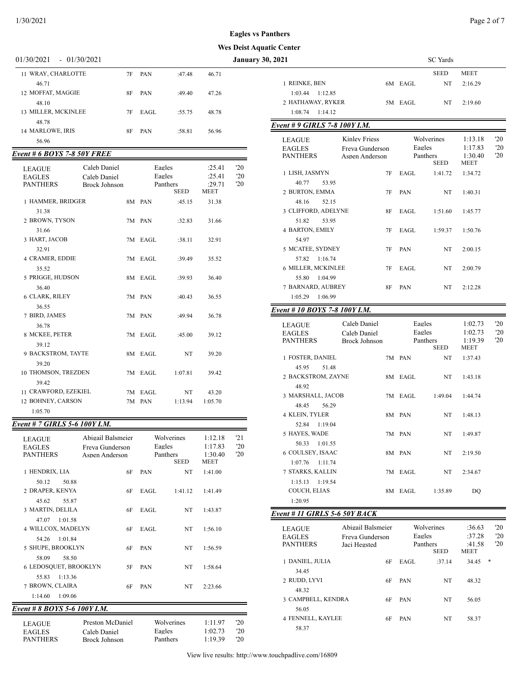#### **Eagles vs Pan**

#### $1/30/2021$  Page 2 of 7

#### **Wes Deist Aquat**

| 01/30/2021<br>$-01/30/2021$ |    |      | <b>January 30, 2021</b> |       |                                                                                  |                               |  |
|-----------------------------|----|------|-------------------------|-------|----------------------------------------------------------------------------------|-------------------------------|--|
| 11 WRAY, CHARLOTTE          | 7F | PAN  | :47.48                  | 46.71 |                                                                                  | <b>SEED</b>                   |  |
| 46.71                       |    |      |                         |       | 1 REINKE, BEN<br>6M EAGL                                                         | NT                            |  |
| 12 MOFFAT, MAGGIE           | 8F | PAN  | :49.40                  | 47.26 | 1:12.85<br>1:03.44                                                               |                               |  |
| 48.10                       |    |      |                         |       | 2 HATHAWAY, RYKER<br>5M EAGL                                                     | NT                            |  |
| 13 MILLER, MCKINLEE         | 7F | EAGL | :55.75                  | 48.78 | 1:14.12<br>1:08.74                                                               |                               |  |
| 48.78<br>14 MARLOWE, IRIS   | 8F | PAN  | :58.81                  | 56.96 | Event # 9 GIRLS 7-8 100Y I.M.                                                    |                               |  |
| 56.96                       |    |      |                         |       | <b>Kinley Friess</b><br><b>LEAGUE</b><br>P A C I P C<br>$\Gamma$ $\cap$ $\Gamma$ | Wolverines<br>$\Gamma$ aalaa. |  |

#### *Event # 6 BOYS 7-8 50Y FREE*

| <b>LEAGUE</b><br><b>EAGLES</b><br><b>PANTHERS</b> | Caleb Daniel<br>Caleb Daniel<br>Brock Johnson |         | Eagles<br>Eagles<br>Panthers<br><b>SEED</b> | :25.41<br>:25.41<br>:29.71<br><b>MEET</b> | '20<br>'20<br>'20 |
|---------------------------------------------------|-----------------------------------------------|---------|---------------------------------------------|-------------------------------------------|-------------------|
| 1 HAMMER, BRIDGER                                 |                                               | 8M PAN  | :45.15                                      | 31.38                                     |                   |
| 31.38<br>2 BROWN, TYSON                           |                                               | 7M PAN  | :32.83                                      | 31.66                                     |                   |
| 31.66<br>3 HART, JACOB                            |                                               | 7M EAGL | :38.11                                      | 32.91                                     |                   |
| 32.91<br><b>4 CRAMER, EDDIE</b><br>35.52          |                                               | 7M EAGL | :39.49                                      | 35.52                                     |                   |
| 5 PRIGGE, HUDSON                                  |                                               | 8M EAGL | :39.93                                      | 36.40                                     |                   |
| 36.40<br><b>6 CLARK, RILEY</b>                    |                                               | 7M PAN  | :40.43                                      | 36.55                                     |                   |
| 36.55<br>7 BIRD, JAMES                            |                                               | 7M PAN  | :49.94                                      | 36.78                                     |                   |
| 36.78<br>8 MCKEE, PETER                           |                                               | 7M EAGL | :45.00                                      | 39.12                                     |                   |
| 39.12<br>9 BACKSTROM, TAYTE                       |                                               | 8M EAGL | NT.                                         | 39.20                                     |                   |
| 39.20<br>10 THOMSON, TREZDEN                      |                                               | 7M EAGL | 1:07.81                                     | 39.42                                     |                   |
| 39.42<br>11 CRAWFORD, EZEKIEL                     |                                               | 7M EAGL | NT                                          | 43.20                                     |                   |
| 12 BOHNEY, CARSON                                 |                                               | 7M PAN  | 1:13.94                                     | 1:05.70                                   |                   |
| 1:05.70                                           |                                               |         |                                             |                                           |                   |

# *Event # 7 GIRLS 5-6 100Y I.M.*

| <b>LEAGUE</b><br><b>EAGLES</b><br><b>PANTHERS</b> | Abigail Balsmeier<br>Freva Gunderson<br>Aspen Anderson | Eagles | Wolverines<br>Panthers<br><b>SEED</b> | 1:12.18<br>1:17.83<br>1:30.40<br><b>MEET</b> | 121<br>'20<br>'20 |
|---------------------------------------------------|--------------------------------------------------------|--------|---------------------------------------|----------------------------------------------|-------------------|
| 1 HENDRIX, LIA                                    | 6F                                                     | PAN    | NT                                    | 1:41.00                                      |                   |
| 50.12<br>50.88                                    |                                                        |        |                                       |                                              |                   |
| 2 DRAPER, KENYA                                   | 6F                                                     | EAGL   | 1:41.12                               | 1:41.49                                      |                   |
| 45.62<br>55.87                                    |                                                        |        |                                       |                                              |                   |
| 3 MARTIN, DELILA                                  | 6F                                                     | EAGL   | NT                                    | 1:43.87                                      |                   |
| 1:01.58<br>47.07                                  |                                                        |        |                                       |                                              |                   |
| 4 WILLCOX, MADELYN                                | 6F                                                     | EAGL   | NT                                    | 1:56.10                                      |                   |
| 1:01.84<br>54.26                                  |                                                        |        |                                       |                                              |                   |
| 5 SHUPE, BROOKLYN                                 | 6F                                                     | PAN    | NT                                    | 1:56.59                                      |                   |
| 58.09<br>58.50                                    |                                                        |        |                                       |                                              |                   |
| <b>6 LEDOSQUET, BROOKLYN</b>                      | 5F                                                     | PAN    | NT                                    | 1:58.64                                      |                   |
| 1:13.36<br>55.83                                  |                                                        |        |                                       |                                              |                   |
| 7 BROWN, CLAIRA                                   | 6F                                                     | PAN    | NT                                    | 2:23.66                                      |                   |
| 1:14.60<br>1:09.06                                |                                                        |        |                                       |                                              |                   |
| Event # 8 BOYS 5-6 100Y I.M.                      |                                                        |        |                                       |                                              |                   |
|                                                   |                                                        |        |                                       |                                              |                   |

| LEAUUE            |
|-------------------|
| <b>EAGLES</b>     |
| <b>DA NITLIED</b> |

LEAGUE Preston McDaniel Wolverines 1:11.97 '20<br>EAGLES Caleb Daniel Eagles 1:02.73 '20 EAGLES Caleb Daniel Eagles 1:02.73 '20<br>
PANTHERS Brock Johnson Panthers 1:19.39 '20 Brock Johnson

| ıthers                                 |                                   |    |          |                 |                 |              |
|----------------------------------------|-----------------------------------|----|----------|-----------------|-----------------|--------------|
| ic Center                              |                                   |    |          |                 |                 |              |
| 2021                                   |                                   |    |          | <b>SC</b> Yards |                 |              |
|                                        |                                   |    |          | <b>SEED</b>     | MEET            |              |
| 1 REINKE, BEN                          |                                   |    | 6M EAGL  | NT              | 2:16.29         |              |
| 1:03.44 1:12.85                        |                                   |    |          |                 |                 |              |
| 2 HATHAWAY, RYKER                      |                                   |    | 5M EAGL  | NT              | 2:19.60         |              |
| $1:08.74$ 1:14.12                      |                                   |    |          |                 |                 |              |
| Event # 9 GIRLS 7-8 100Y I.M.          |                                   |    |          |                 |                 |              |
|                                        | <b>Kinley Friess</b>              |    |          | Wolverines      | 1:13.18         | 20           |
| <b>LEAGUE</b><br><b>EAGLES</b>         |                                   |    | Eagles   |                 | 1:17.83         | '20          |
| <b>PANTHERS</b>                        | Freya Gunderson<br>Aspen Anderson |    |          | Panthers        | 1:30.40         | '20          |
|                                        |                                   |    |          | SEED            | MEET            |              |
| 1 LISH, JASMYN                         |                                   | 7F | EAGL     | 1:41.72         | 1:34.72         |              |
| 40.77<br>53.95                         |                                   |    |          |                 |                 |              |
| 2 BURTON, EMMA                         |                                   | 7F | PAN      | NT              | 1:40.31         |              |
| 48.16<br>52.15                         |                                   |    |          |                 |                 |              |
| 3 CLIFFORD, ADELYNE                    |                                   | 8F | EAGL     | 1:51.60         | 1:45.77         |              |
| 51.82<br>53.95                         |                                   |    |          |                 |                 |              |
| 4 BARTON, EMILY                        |                                   | 7F | EAGL     | 1:59.37         | 1:50.76         |              |
| 54.97                                  |                                   |    |          |                 |                 |              |
| 5 MCATEE, SYDNEY                       |                                   | 7F | PAN      | <b>NT</b>       | 2:00.15         |              |
| 57.82<br>1:16.74                       |                                   |    |          |                 |                 |              |
| 6 MILLER, MCKINLEE                     |                                   | 7F | EAGL     | NT              | 2:00.79         |              |
| 55.80 1:04.99                          |                                   |    |          |                 |                 |              |
| 7 BARNARD, AUBREY                      |                                   | 8F | PAN      | NT              | 2:12.28         |              |
| 1:05.29<br>1:06.99                     |                                   |    |          |                 |                 |              |
| Event # 10 BOYS 7-8 100Y I.M.          |                                   |    |          |                 |                 |              |
|                                        |                                   |    |          |                 |                 |              |
| LEAGUE                                 | Caleb Daniel                      |    | Eagles   |                 | 1:02.73         | 20           |
| <b>EAGLES</b>                          | Caleb Daniel                      |    | Eagles   |                 | 1:02.73         | 20           |
| <b>PANTHERS</b>                        | <b>Brock Johnson</b>              |    | Panthers | SEED            | 1:19.39<br>MEET | '20          |
| 1 FOSTER, DANIEL                       |                                   |    | 7M PAN   | NT              | 1:37.43         |              |
| 45.95<br>51.48                         |                                   |    |          |                 |                 |              |
| 2 BACKSTROM, ZAYNE                     |                                   |    | 8M EAGL  | NT              | 1:43.18         |              |
| 48.92                                  |                                   |    |          |                 |                 |              |
| 3 MARSHALL, JACOB                      |                                   |    | 7M EAGL  | 1:49.04         | 1:44.74         |              |
| 48.45<br>56.29                         |                                   |    |          |                 |                 |              |
| 4 KLEIN, TYLER                         |                                   |    |          |                 |                 |              |
|                                        |                                   |    | 8M PAN   | NT              | 1:48.13         |              |
| 52.84<br>1:19.04<br>5 HAYES, WADE      |                                   |    |          |                 |                 |              |
|                                        |                                   | 7M | PAN      | NT              | 1:49.87         |              |
| 50.33<br>1:01.55<br>6 COULSEY, ISAAC   |                                   |    |          |                 |                 |              |
|                                        |                                   |    | 8M PAN   | NT              | 2:19.50         |              |
| 1:07.76<br>1:11.74<br>7 STARKS, KALLIN |                                   |    |          |                 |                 |              |
|                                        |                                   | 7M | EAGL     | NT              | 2:34.67         |              |
| 1:15.13<br>1:19.54<br>COUCH, ELIAS     |                                   |    | EAGL     |                 |                 |              |
|                                        |                                   | 8M |          | 1:35.89         | DQ              |              |
| 1:20.95                                |                                   |    |          |                 |                 |              |
| Event # 11 GIRLS 5-6 50Y BACK          |                                   |    |          |                 |                 |              |
| LEAGUE                                 | Abigail Balsmeier                 |    |          | Wolverines      | :36.63          | '20          |
| <b>EAGLES</b>                          | Freya Gunderson                   |    | Eagles   |                 | :37.28          | $20^{\circ}$ |
| <b>PANTHERS</b>                        | Jaci Hegsted                      |    |          | Panthers        | :41.58          | $20^{\circ}$ |
|                                        |                                   |    |          | <b>SEED</b>     | MEET            |              |

|                    |    |            | <b>SEED</b> | <b>MEET</b> |     |  |
|--------------------|----|------------|-------------|-------------|-----|--|
| 1 DANIEL, JULIA    | 6F | EAGL       | :37.14      | 34.45       | $*$ |  |
| 34.45              |    |            |             |             |     |  |
| 2 RUDD, LYVI       | 6F | <b>PAN</b> | NT          | 48.32       |     |  |
| 48.32              |    |            |             |             |     |  |
| 3 CAMPBELL, KENDRA | 6F | <b>PAN</b> | NT          | 56.05       |     |  |
| 56.05              |    |            |             |             |     |  |
| 4 FENNELL, KAYLEE  | 6F | <b>PAN</b> | NT          | 58.37       |     |  |
| 58.37              |    |            |             |             |     |  |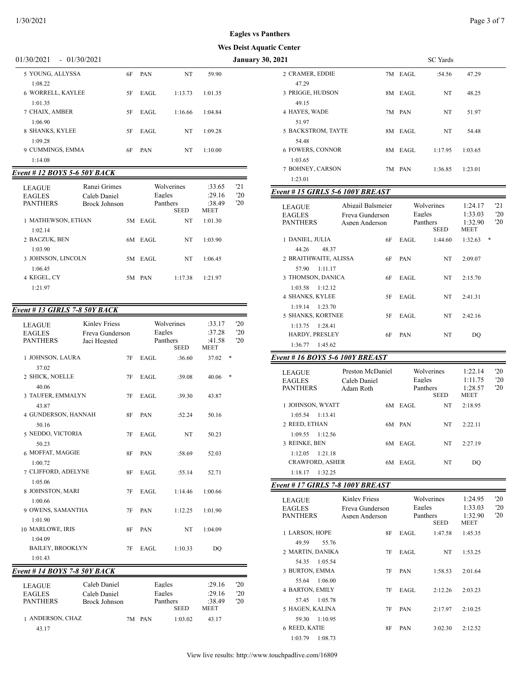# **Eagles vs Panthers**

#### **Wes Deist Aquatic C**

#### 01/30/2021 - 01/30/2021 **January 30,**

| 5 YOUNG, ALLYSSA             | 6F | <b>PAN</b> | NT      | 59.90   |  |
|------------------------------|----|------------|---------|---------|--|
| 1:08.22<br>6 WORRELL, KAYLEE | 5F | EAGL       | 1:13.73 | 1:01.35 |  |
| 1:01.35<br>7 CHAIX, AMBER    | 5F | EAGL       | 1:16.66 | 1:04.84 |  |
| 1:06.90<br>8 SHANKS, KYLEE   | 5F | EAGL       | NT      | 1:09.28 |  |
| 1:09.28<br>9 CUMMINGS, EMMA  | 6F | <b>PAN</b> | NT      | 1:10.00 |  |
| 1:14.08                      |    |            |         |         |  |
|                              |    |            |         |         |  |

# *Event # 12 BOYS 5-6 50Y BACK*

| <b>LEAGUE</b><br><b>EAGLES</b><br><b>PANTHERS</b> | Rangi Grimes<br>Caleb Daniel<br>Brock Johnson |    | Eagles<br>Panthers | Wolverines<br><b>SEED</b> | :33.65<br>:29.16<br>:38.49<br><b>MEET</b> | '21<br>'20<br>'20 |
|---------------------------------------------------|-----------------------------------------------|----|--------------------|---------------------------|-------------------------------------------|-------------------|
| 1 MATHEWSON, ETHAN                                |                                               |    | 5M EAGL            | NT                        | 1:01.30                                   |                   |
| 1:02.14<br>2 BACZUK, BEN<br>1:03.90               |                                               | 6M | EAGL               | NT                        | 1:03.90                                   |                   |
| 3 JOHNSON, LINCOLN                                |                                               | 5M | EAGL               | NT                        | 1:06.45                                   |                   |
| 1:06.45<br>4 KEGEL, CY<br>1:21.97                 |                                               | 5M | PAN                | 1:17.38                   | 1:21.97                                   |                   |

# *Event # 13 GIRLS 7-8 50Y BACK*

| <b>LEAGUE</b><br><b>EAGLES</b><br><b>PANTHERS</b> | <b>Kinley Friess</b><br>Jaci Hegsted | Freva Gunderson |                  | Wolverines<br>Eagles<br>Panthers<br><b>SEED</b> |                  | '20<br>'20<br>'20   |
|---------------------------------------------------|--------------------------------------|-----------------|------------------|-------------------------------------------------|------------------|---------------------|
| 1 JOHNSON, LAURA                                  |                                      | 7F              | EAGL             | :36.60                                          | 37.02            | *                   |
| 37.02                                             |                                      |                 |                  |                                                 |                  |                     |
| 2 SHICK, NOELLE                                   |                                      | 7F              | EAGL             | :39.08                                          | 40.06            | $\ast$              |
| 40.06                                             |                                      |                 |                  |                                                 |                  |                     |
| 3 TAUFER, EMMALYN                                 |                                      | 7F              | EAGL             | :39.30                                          | 43.87            |                     |
| 43.87                                             |                                      |                 |                  |                                                 |                  |                     |
| 4 GUNDERSON, HANNAH<br>50.16                      |                                      | 8F              | PAN              | :52.24                                          | 50.16            |                     |
| 5 NEDDO, VICTORIA                                 |                                      | 7F              | EAGL             | NT                                              | 50.23            |                     |
| 50.23                                             |                                      |                 |                  |                                                 |                  |                     |
| 6 MOFFAT, MAGGIE                                  |                                      | 8F              | PAN              | :58.69                                          | 52.03            |                     |
| 1:00.72                                           |                                      |                 |                  |                                                 |                  |                     |
| 7 CLIFFORD, ADELYNE                               |                                      | 8F              | EAGL             | :55.14                                          | 52.71            |                     |
| 1:05.06                                           |                                      |                 |                  |                                                 |                  |                     |
| 8 JOHNSTON, MARI                                  |                                      | 7F              | EAGL             | 1:14.46                                         | 1:00.66          |                     |
| 1:00.66                                           |                                      |                 |                  |                                                 |                  |                     |
| 9 OWENS, SAMANTHA                                 |                                      | 7F              | PAN              | 1:12.25                                         | 1:01.90          |                     |
| 1:01.90<br>10 MARLOWE, IRIS                       |                                      | <b>8F</b>       | PAN              | NT                                              | 1:04.09          |                     |
| 1:04.09                                           |                                      |                 |                  |                                                 |                  |                     |
| <b>BAILEY, BROOKLYN</b>                           |                                      | 7F              | EAGL             | 1:10.33                                         | DO               |                     |
| 1:01.43                                           |                                      |                 |                  |                                                 |                  |                     |
| Event # 14 BOYS 7-8 50Y BACK                      |                                      |                 |                  |                                                 |                  |                     |
|                                                   |                                      |                 |                  |                                                 |                  |                     |
| <b>LEAGUE</b><br><b>EAGLES</b>                    | Caleb Daniel<br>Caleb Daniel         |                 | Eagles<br>Eagles |                                                 | :29.16<br>:29.16 | '20<br>$20^{\circ}$ |
| <b>PANTHERS</b>                                   | Brock Johnson                        |                 |                  | Panthers                                        | :38.49           | 20                  |
|                                                   |                                      |                 |                  | <b>SEED</b>                                     | <b>MEET</b>      |                     |

| 1 ANDERSON, CHAZ | 7M PAN | 1:03.02 | 43.17 |
|------------------|--------|---------|-------|
|                  |        |         |       |

43.17

| ıc Center                        |      |         |                 |         |  |
|----------------------------------|------|---------|-----------------|---------|--|
| 2021                             |      |         | <b>SC</b> Yards |         |  |
| 2 CRAMER, EDDIE                  |      | 7M EAGL | :54.56          | 47.29   |  |
| 47.29                            |      |         |                 |         |  |
| 3 PRIGGE, HUDSON                 | 8M - | EAGL    | NT              | 48.25   |  |
| 49.15                            |      |         |                 |         |  |
| 4 HAYES, WADE                    |      | 7M PAN  | NT              | 51.97   |  |
| 51.97                            |      |         |                 |         |  |
| 5 BACKSTROM, TAYTE               | 8М   | EAGL    | NT              | 54.48   |  |
| 54.48                            |      |         |                 |         |  |
| 6 FOWERS, CONNOR                 | 8M   | EAGL    | 1:17.95         | 1:03.65 |  |
| 1:03.65                          |      |         |                 |         |  |
| 7 BOHNEY, CARSON                 |      | 7M PAN  | 1:36.85         | 1:23.01 |  |
| 1:23.01                          |      |         |                 |         |  |
| Event # 15 GIRLS 5-6 100Y BREAST |      |         |                 |         |  |
|                                  |      |         |                 |         |  |

| <b>LEAGUE</b><br><b>EAGLES</b><br><b>PANTHERS</b> | Abigail Balsmeier<br>Freva Gunderson<br>Aspen Anderson |    | Eagles     | Wolverines<br>Panthers<br><b>SEED</b> | 1:24.17<br>1:33.03<br>1:32.90<br><b>MEET</b> | '21<br>'20<br>'20 |
|---------------------------------------------------|--------------------------------------------------------|----|------------|---------------------------------------|----------------------------------------------|-------------------|
| 1 DANIEL, JULIA                                   |                                                        | 6F | EAGL       | 1:44.60                               | 1:32.63                                      | *                 |
| 48.37<br>44.26<br>2 BRAITHWAITE, ALISSA           |                                                        | 6F | <b>PAN</b> | NT.                                   | 2:09.07                                      |                   |
| 57.90<br>1:11.17<br>3 THOMSON, DANICA             |                                                        | 6F | EAGL       | NT                                    | 2:15.70                                      |                   |
| 1:03.58<br>1:12.12<br><b>4 SHANKS, KYLEE</b>      |                                                        | 5F | EAGL       | NT                                    | 2:41.31                                      |                   |
| 1:23.70<br>1:19.14<br>5 SHANKS, KORTNEE           |                                                        | 5F | EAGL       | NT                                    | 2:42.16                                      |                   |
| 1:28.41<br>1:13.75<br><b>HARDY, PRESLEY</b>       |                                                        | 6F | <b>PAN</b> | NT                                    | DO                                           |                   |
| 1:45.62<br>1:36.77                                |                                                        |    |            |                                       |                                              |                   |

# *Event # 16 BOYS 5-6 100Y BREAST*

| <b>LEAGUE</b><br><b>EAGLES</b><br><b>PANTHERS</b> | Preston McDaniel<br>Caleb Daniel<br>Adam Roth |      | Wolverines<br>Eagles<br>Panthers | <b>SEED</b> | 1:22.14<br>1:11.75<br>1:28.57<br><b>MEET</b> | '20<br>'20<br>'20 |
|---------------------------------------------------|-----------------------------------------------|------|----------------------------------|-------------|----------------------------------------------|-------------------|
| 1 JOHNSON, WYATT                                  |                                               | 6M - | EAGL                             | <b>NT</b>   | 2:18.95                                      |                   |
| 1:05.54                                           | 1.1341                                        |      |                                  |             |                                              |                   |
| 2 REED, ETHAN                                     |                                               |      | 6M PAN                           | NT          | 2:22.11                                      |                   |
| 1:09.55                                           | 1:12.56                                       |      |                                  |             |                                              |                   |
| 3 REINKE, BEN                                     |                                               | 6M   | EAGL                             | NT          | 2:27.19                                      |                   |
| 1:12.05                                           | 1:21.18                                       |      |                                  |             |                                              |                   |
| <b>CRAWFORD, ASHER</b>                            |                                               | 6M.  | EAGL                             | NT          | DO                                           |                   |
| 1:18.17                                           | 1.32.25                                       |      |                                  |             |                                              |                   |

#### *Event # 17 GIRLS 7-8 100Y BREAST*

| <b>LEAGUE</b><br><b>EAGLES</b>      | Kinley Friess<br>Freva Gunderson | Wolverines<br>Eagles    | 1:24.95<br>1:33.03     | $20^{\circ}$<br>'20 |
|-------------------------------------|----------------------------------|-------------------------|------------------------|---------------------|
| <b>PANTHERS</b>                     | Aspen Anderson                   | Panthers<br><b>SEED</b> | 1:32.90<br><b>MEET</b> | $20^{\circ}$        |
| 1 LARSON, HOPE                      | 8F                               | EAGL<br>1:47.58         | 1:45.35                |                     |
| 49.59<br>55.76<br>2 MARTIN, DANIKA  | 7F                               | EAGL<br>NT              | 1:53.25                |                     |
| 1:05.54<br>54.35                    |                                  |                         |                        |                     |
| 3 BURTON, EMMA                      | 7F                               | PAN<br>1:58.53          | 2:01.64                |                     |
| 1:06.00<br>55.64<br>4 BARTON, EMILY | 7F                               | EAGL<br>2:12.26         | 2:03.23                |                     |
| 1:05.78<br>57.45<br>5 HAGEN, KALINA | 7F                               | <b>PAN</b><br>2:17.97   | 2:10.25                |                     |
| 1:10.95<br>59.30                    |                                  |                         |                        |                     |
| 6 REED, KATIE                       | 8F                               | <b>PAN</b><br>3:02.30   | 2:12.52                |                     |
| 1:08.73<br>1:03.79                  |                                  |                         |                        |                     |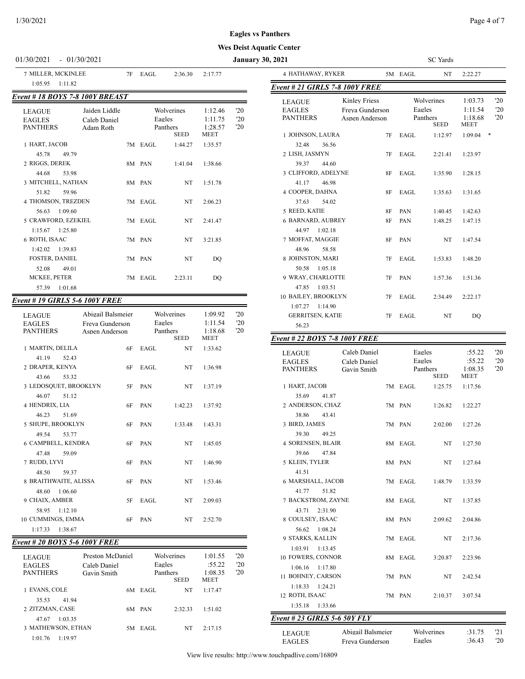# 01/30/2021 - 01/30/2021 **January 30,**

# **Wes Deist Aquatic Center**

| 7 MILLER, MCKINLEE<br>1:05.95<br>1:11.82                                                        | 7F | EAGL    | 2:36.30                                         | 2:17.77                                      |                            |
|-------------------------------------------------------------------------------------------------|----|---------|-------------------------------------------------|----------------------------------------------|----------------------------|
| <b>Event # 18 BOYS 7-8 100Y BREAST</b>                                                          |    |         |                                                 |                                              |                            |
| Jaiden Liddle<br><b>LEAGUE</b><br>Caleb Daniel<br><b>EAGLES</b><br><b>PANTHERS</b><br>Adam Roth |    |         | Wolverines<br>Eagles<br>Panthers<br><b>SEED</b> | 1:12.46<br>1:11.75<br>1:28.57<br><b>MEET</b> | '20<br>'20<br>$20^{\circ}$ |
| 1 HART, JACOB                                                                                   |    | 7M EAGL | 1:44.27                                         | 1:35.57                                      |                            |
| 45.78<br>49.79<br>2 RIGGS, DEREK<br>44.68<br>53.98                                              |    | 8M PAN  | 1:41.04                                         | 1:38.66                                      |                            |
| 3 MITCHELL, NATHAN                                                                              |    | 8M PAN  | NT                                              | 1:51.78                                      |                            |
| 51.82<br>59.96<br><b>4 THOMSON, TREZDEN</b>                                                     |    | 7M EAGL | NT                                              | 2:06.23                                      |                            |
| 1:09.60<br>56.63<br>5 CRAWFORD, EZEKIEL<br>$1:15.67$ 1:25.80                                    |    | 7M EAGL | NT                                              | 2:41.47                                      |                            |
| 6 ROTH, ISAAC                                                                                   |    | 7M PAN  | NT                                              | 3:21.85                                      |                            |
| $1:42.02$ $1:39.83$<br><b>FOSTER, DANIEL</b>                                                    |    | 7M PAN  | NT                                              | DO                                           |                            |
| 52.08<br>49.01<br><b>MCKEE, PETER</b><br>1:01.68                                                |    | 7M EAGL | 2:23.11                                         | DO                                           |                            |
| 57.39                                                                                           |    |         |                                                 |                                              |                            |

#### *Event # 19 GIRLS 5-6 100Y FREE*

| <b>LEAGUE</b><br><b>EAGLES</b><br><b>PANTHERS</b> | Abigail Balsmeier<br>Freva Gunderson<br>Aspen Anderson | Eagles     | Wolverines<br>Panthers<br><b>SEED</b> | 1:09.92<br>1:11.54<br>1:18.68<br><b>MEET</b> | '20<br>'20<br>'20 |
|---------------------------------------------------|--------------------------------------------------------|------------|---------------------------------------|----------------------------------------------|-------------------|
| 1 MARTIN, DELILA                                  | 6F                                                     | EAGL       | NT.                                   | 1:33.62                                      |                   |
| 41.19<br>52.43                                    |                                                        |            |                                       |                                              |                   |
| 2 DRAPER, KENYA                                   | 6F                                                     | EAGL       | NT.                                   | 1:36.98                                      |                   |
| 43.66<br>53.32                                    |                                                        |            |                                       |                                              |                   |
| 3 LEDOSQUET, BROOKLYN                             | 5F                                                     | <b>PAN</b> | NT                                    | 1:37.19                                      |                   |
| 46.07<br>51.12                                    |                                                        |            |                                       |                                              |                   |
| 4 HENDRIX, LIA                                    | 6F                                                     | PAN        | 1:42.23                               | 1:37.92                                      |                   |
| 46.23<br>51.69                                    |                                                        |            |                                       |                                              |                   |
| 5 SHUPE, BROOKLYN                                 | 6F                                                     | <b>PAN</b> | 1:33.48                               | 1:43.31                                      |                   |
| 49.54<br>53.77                                    |                                                        |            |                                       |                                              |                   |
| 6 CAMPBELL, KENDRA                                | 6F                                                     | <b>PAN</b> | NT 1                                  | 1:45.05                                      |                   |
| 47.48<br>59.09                                    |                                                        |            |                                       |                                              |                   |
| 7 RUDD, LYVI                                      | 6F                                                     | PAN        | NT                                    | 1:46.90                                      |                   |
| 48.50<br>59.37<br>8 BRAITHWAITE, ALISSA           | 6F                                                     | PAN        | NT                                    | 1:53.46                                      |                   |
| 1:06.60<br>48.60                                  |                                                        |            |                                       |                                              |                   |
| 9 CHAIX, AMBER                                    | 5F                                                     | EAGL       | NT                                    | 2:09.03                                      |                   |
| 1:12.10<br>58.95                                  |                                                        |            |                                       |                                              |                   |
| 10 CUMMINGS, EMMA                                 | 6F                                                     | PAN        | NT                                    | 2:52.70                                      |                   |
| 1:17.33<br>1:38.67                                |                                                        |            |                                       |                                              |                   |

# *Event # 20 BOYS 5-6 100Y FREE*

| <b>LEAGUE</b><br><b>EAGLES</b><br><b>PANTHERS</b> | Preston McDaniel<br>Caleb Daniel<br>Gavin Smith |    | Eagles<br>Panthers | Wolverines<br><b>SEED</b> | 1:01.55<br>:55.22<br>1:08.35<br><b>MEET</b> | '20<br>'20<br>'20 |
|---------------------------------------------------|-------------------------------------------------|----|--------------------|---------------------------|---------------------------------------------|-------------------|
| 1 EVANS, COLE                                     |                                                 | 6M | EAGL               | NT                        | 1:17.47                                     |                   |
| 35.53<br>41.94                                    |                                                 |    |                    |                           |                                             |                   |
| 2 ZITZMAN, CASE                                   |                                                 | 6М | <b>PAN</b>         | 2:32.33                   | 1:51.02                                     |                   |
| 1:03.35<br>47.67                                  |                                                 |    |                    |                           |                                             |                   |
| 3 MATHEWSON, ETHAN                                |                                                 | 5M | EAGL               | NT                        | 2:17.15                                     |                   |
| 1:19.97<br>1:01.76                                |                                                 |    |                    |                           |                                             |                   |

| 2021                                                 |                                                           |    | SC Yards         |                                |                                       |                           |  |
|------------------------------------------------------|-----------------------------------------------------------|----|------------------|--------------------------------|---------------------------------------|---------------------------|--|
| 4 HATHAWAY, RYKER                                    |                                                           |    | 5M EAGL          | NT                             | 2:22.27                               |                           |  |
| <b>Event # 21 GIRLS 7-8 100Y FREE</b>                |                                                           |    |                  |                                |                                       |                           |  |
| <b>LEAGUE</b><br><b>EAGLES</b><br><b>PANTHERS</b>    | <b>Kinley Friess</b><br>Freya Gunderson<br>Aspen Anderson |    | Eagles           | Wolverines<br>Panthers<br>SEED | 1:03.73<br>1:11.54<br>1:18.68<br>MEET | 20<br>'20<br>20           |  |
| 1 JOHNSON, LAURA                                     |                                                           | 7F | EAGL             | 1:12.97                        | 1:09.04                               | $\ast$                    |  |
| 36.56<br>32.48                                       |                                                           |    |                  |                                |                                       |                           |  |
| 2 LISH, JASMYN<br>39.37<br>44.60                     |                                                           | 7F | EAGL             | 2:21.41                        | 1:23.97                               |                           |  |
| 3 CLIFFORD, ADELYNE<br>41.17<br>46.98                |                                                           | 8F | EAGL             | 1:35.90                        | 1:28.15                               |                           |  |
| 4 COOPER, DAHNA<br>37.63<br>54.02                    |                                                           | 8F | EAGL             | 1:35.63                        | 1:31.65                               |                           |  |
| 5 REED, KATIE                                        |                                                           | 8F | PAN              | 1:40.45                        | 1:42.63                               |                           |  |
| <b>6 BARNARD, AUBREY</b><br>44.97<br>1:02.18         |                                                           | 8F | PAN              | 1:48.25                        | 1:47.15                               |                           |  |
| 7 MOFFAT, MAGGIE<br>48.96<br>58.58                   |                                                           | 8F | PAN              | NT                             | 1:47.54                               |                           |  |
| 8 JOHNSTON, MARI<br>50.58<br>1:05.18                 |                                                           | 7F | EAGL             | 1:53.83                        | 1:48.20                               |                           |  |
| 9 WRAY, CHARLOTTE<br>1:03.51<br>47.85                |                                                           | 7F | PAN              | 1:57.36                        | 1:51.36                               |                           |  |
| 10 BAILEY, BROOKLYN<br>$1:07.27$ 1:14.90             |                                                           | 7F | EAGL             | 2:34.49                        | 2:22.17                               |                           |  |
| <b>GERRITSEN, KATIE</b><br>56.23                     |                                                           | 7F | EAGL             | NT                             | DO                                    |                           |  |
| <b>Event # 22 BOYS 7-8 100Y FREE</b>                 |                                                           |    |                  |                                |                                       |                           |  |
| LEAGUE<br><b>EAGLES</b><br><b>PANTHERS</b>           | Caleb Daniel<br>Caleb Daniel<br>Gavin Smith               |    | Eagles<br>Eagles | Panthers<br>SEED               | :55.22<br>:55.22<br>1:08.35<br>MEET   | 20<br>'20<br>$20^{\circ}$ |  |
| 1 HART, JACOB                                        |                                                           |    | 7M EAGL          | 1:25.75                        | 1:17.56                               |                           |  |
| 35.69<br>41.87<br>2 ANDERSON, CHAZ<br>38.86<br>43.41 |                                                           |    | 7M PAN           | 1:26.82                        | 1:22.27                               |                           |  |
| 3 BIRD, JAMES<br>39.30<br>49.25                      |                                                           |    | 7M PAN           | 2:02.00                        | 1:27.26                               |                           |  |
| 4 SORENSEN, BLAIR<br>39.66 47.84                     |                                                           |    | 8M EAGL          | $_{\rm NT}$                    | 1:27.50                               |                           |  |
| 5 KLEIN, TYLER<br>41.51                              |                                                           |    | 8M PAN           | NT                             | 1:27.64                               |                           |  |
| 6 MARSHALL, JACOB<br>41.77 51.82                     |                                                           |    |                  | 7M EAGL 1:48.79                | 1:33.59                               |                           |  |
| 7 BACKSTROM, ZAYNE<br>43.71 2:31.90                  |                                                           |    | 8M EAGL          | NT                             | 1:37.85                               |                           |  |
| 8 COULSEY, ISAAC<br>56.62 1:08.24                    |                                                           |    | 8M PAN           | 2:09.62                        | 2:04.86                               |                           |  |
| 9 STARKS, KALLIN<br>1:03.91  1:13.45                 |                                                           |    | 7M EAGL          | NT                             | 2:17.36                               |                           |  |
| 10 FOWERS, CONNOR<br>$1:06.16$ $1:17.80$             |                                                           |    | 8M EAGL          | 3:20.87                        | 2:23.96                               |                           |  |
| 11 BOHNEY, CARSON<br>$1:18.33$ $1:24.21$             |                                                           |    | 7M PAN           | NT                             | 2:42.54                               |                           |  |

*Event # 23 GIRLS 5-6 50Y FLY*

1:35.18 1:33.66

| <b>LEAGUE</b> | Abigail Balsmeier | Wolverines | :31.75 | 121 |
|---------------|-------------------|------------|--------|-----|
| <b>EAGLES</b> | Freva Gunderson   | Eagles     | :36.43 | '20 |

| .       |   |
|---------|---|
| ıderson | F |

12 ROTH, ISAAC 7M PAN 2:10.37 3:07.54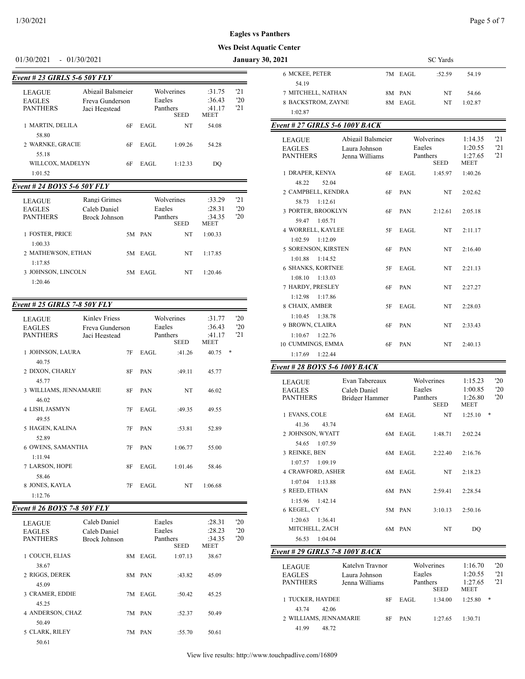#### $1/30/2021$  Page 5 of 7

#### **Wes Deist Aquat**

#### 01/30/2021 - 01/30/2021 **January 30,**

| Event # 23 GIRLS 5-6 50Y FLY                      |                                                       |        |                                       |                                           |                   |
|---------------------------------------------------|-------------------------------------------------------|--------|---------------------------------------|-------------------------------------------|-------------------|
| <b>LEAGUE</b><br><b>EAGLES</b><br><b>PANTHERS</b> | Abigail Balsmeier<br>Freva Gunderson<br>Jaci Hegstead | Eagles | Wolverines<br>Panthers<br><b>SEED</b> | :31.75<br>:36.43<br>:41.17<br><b>MEET</b> | 121<br>'20<br>'21 |
| 1 MARTIN, DELILA                                  | 6F                                                    | EAGL   | NT                                    | 54.08                                     |                   |
| 58.80<br>2 WARNKE, GRACIE                         | 6F                                                    | EAGL   | 1:09.26                               | 54.28                                     |                   |
| 55.18<br>WILLCOX, MADELYN<br>1:01.52              | 6F                                                    | EAGL   | 1:12.33                               | DO                                        |                   |
|                                                   |                                                       |        |                                       |                                           |                   |

### *Event # 24 BOYS 5-6 50Y FLY*

| <b>LEAGUE</b><br><b>EAGLES</b><br><b>PANTHERS</b> | Rangi Grimes<br>Caleb Daniel<br>Brock Johnson |    | Wolverines<br>Eagles<br>Panthers | <b>SEED</b> | :33.29<br>:28.31<br>:34.35<br><b>MEET</b> | 121<br>'20<br>'20 |
|---------------------------------------------------|-----------------------------------------------|----|----------------------------------|-------------|-------------------------------------------|-------------------|
| 1 FOSTER, PRICE                                   |                                               |    | 5M PAN                           | NT          | 1:00.33                                   |                   |
| 1:00.33<br>2 MATHEWSON, ETHAN                     |                                               | 5M | EAGL                             | NT          | 1:17.85                                   |                   |
| 1:17.85<br>3 JOHNSON, LINCOLN                     |                                               |    | 5M EAGL                          | NT          | 1:20.46                                   |                   |
| 1:20.46                                           |                                               |    |                                  |             |                                           |                   |

# *Event # 25 GIRLS 7-8 50Y FLY*

| <b>LEAGUE</b><br><b>EAGLES</b><br><b>PANTHERS</b> | <b>Kinley Friess</b><br>Freva Gunderson<br>Jaci Hegstead |    | Wolverines<br>Eagles<br>Panthers<br><b>SEED</b> |         | :31.77<br>:36.43<br>:41.17<br><b>MEET</b> |   | '20<br>'20<br>'21 |
|---------------------------------------------------|----------------------------------------------------------|----|-------------------------------------------------|---------|-------------------------------------------|---|-------------------|
| 1 JOHNSON, LAURA                                  |                                                          | 7F | EAGL                                            | :41.26  | 40.75                                     | * |                   |
| 40.75<br>2 DIXON, CHARLY<br>45.77                 |                                                          | 8F | PAN                                             | :49.11  | 45.77                                     |   |                   |
| 3 WILLIAMS, JENNAMARIE                            |                                                          | 8F | PAN                                             | NT      | 46.02                                     |   |                   |
| 46.02                                             |                                                          |    |                                                 |         |                                           |   |                   |
| 4 LISH, JASMYN                                    |                                                          | 7F | EAGL                                            | :49.35  | 49.55                                     |   |                   |
| 49.55<br>5 HAGEN, KALINA<br>52.89                 |                                                          | 7F | PAN                                             | :53.81  | 52.89                                     |   |                   |
| 6 OWENS, SAMANTHA                                 |                                                          | 7F | PAN                                             | 1:06.77 | 55.00                                     |   |                   |
| 1:11.94                                           |                                                          |    |                                                 |         |                                           |   |                   |
| 7 LARSON, HOPE                                    |                                                          | 8F | EAGL                                            | 1:01.46 | 58.46                                     |   |                   |
| 58.46                                             |                                                          |    |                                                 |         |                                           |   |                   |
| 8 JONES, KAYLA                                    |                                                          | 7F | EAGL                                            | NT      | 1:06.68                                   |   |                   |
| 1:12.76                                           |                                                          |    |                                                 |         |                                           |   |                   |

# *Event # 26 BOYS 7-8 50Y FLY*

| <b>LEAGUE</b><br><b>EAGLES</b><br><b>PANTHERS</b> | Caleb Daniel<br>Caleb Daniel<br>Brock Johnson |    | Eagles<br>Eagles<br>Panthers | <b>SEED</b> | :28.31<br>:28.23<br>:34.35<br><b>MEET</b> | $20^{\circ}$<br>'20<br>'20 |
|---------------------------------------------------|-----------------------------------------------|----|------------------------------|-------------|-------------------------------------------|----------------------------|
| 1 COUCH, ELIAS                                    |                                               | 8M | EAGL                         | 1:07.13     | 38.67                                     |                            |
| 38.67                                             |                                               |    |                              |             |                                           |                            |
| 2 RIGGS, DEREK<br>45.09                           |                                               |    | 8M PAN                       | :43.82      | 45.09                                     |                            |
| 3 CRAMER, EDDIE                                   |                                               |    | 7M EAGL                      | :50.42      | 45.25                                     |                            |
| 45.25                                             |                                               |    |                              |             |                                           |                            |
| <b>4 ANDERSON, CHAZ</b><br>50.49                  |                                               |    | 7M PAN                       | :52.37      | 50.49                                     |                            |
| 5 CLARK, RILEY                                    |                                               |    | 7M PAN                       | :55.70      | 50.61                                     |                            |
| 50.61                                             |                                               |    |                              |             |                                           |                            |

| nthers                         |                   |    |         |                  |                 |              |
|--------------------------------|-------------------|----|---------|------------------|-----------------|--------------|
| ic Center                      |                   |    |         |                  |                 |              |
| 2021                           |                   |    |         | <b>SC</b> Yards  |                 |              |
| <b>6 MCKEE, PETER</b>          |                   |    | 7M EAGL | :52.59           | 54.19           |              |
| 54.19                          |                   |    |         |                  |                 |              |
| 7 MITCHELL, NATHAN             |                   | 8M | PAN     | NT               | 54.66           |              |
| 8 BACKSTROM, ZAYNE             |                   |    | 8M EAGL | NT               | 1:02.87         |              |
| 1:02.87                        |                   |    |         |                  |                 |              |
| Event # 27 GIRLS 5-6 100Y BACK |                   |    |         |                  |                 |              |
| <b>LEAGUE</b>                  | Abigail Balsmeier |    |         | Wolverines       | 1:14.35         | 21           |
| <b>EAGLES</b>                  | Laura Johnson     |    | Eagles  |                  | 1:20.55         | '21          |
| <b>PANTHERS</b>                | Jenna Williams    |    |         | Panthers<br>SEED | 1:27.65<br>MEET | 21           |
| 1 DRAPER, KENYA                |                   | 6F | EAGL    | 1:45.97          | 1:40.26         |              |
| 48.22<br>52.04                 |                   |    |         |                  |                 |              |
| 2 CAMPBELL, KENDRA             |                   | 6F | PAN     | NT               | 2:02.62         |              |
| 58.73<br>1:12.61               |                   |    |         |                  |                 |              |
| 3 PORTER, BROOKLYN             |                   | 6F | PAN     | 2:12.61          | 2:05.18         |              |
| 59.47<br>1:05.71               |                   |    |         |                  |                 |              |
| 4 WORRELL, KAYLEE              |                   | 5F | EAGL    | NT               | 2:11.17         |              |
| 1:02.59<br>1:12.09             |                   |    |         |                  |                 |              |
| 5 SORENSON, KIRSTEN            |                   | 6F | PAN     | NT               | 2:16.40         |              |
| 1:01.88<br>1:14.52             |                   |    |         |                  |                 |              |
| <b>6 SHANKS, KORTNEE</b>       |                   | 5F | EAGL    | NT               | 2:21.13         |              |
| 1:08.10<br>1:13.03             |                   |    |         |                  |                 |              |
| 7 HARDY, PRESLEY               |                   | 6F | PAN     | NT               | 2:27.27         |              |
| 1:12.98<br>1:17.86             |                   |    |         |                  |                 |              |
| 8 CHAIX, AMBER                 |                   | 5F | EAGL    | NT               | 2:28.03         |              |
| 1:10.45<br>1:38.78             |                   |    |         |                  |                 |              |
| 9 BROWN, CLAIRA                |                   | 6F | PAN     | NT               | 2:33.43         |              |
| 1:10.67<br>1:22.76             |                   |    |         |                  |                 |              |
| 10 CUMMINGS, EMMA              |                   | 6F | PAN     | NT               | 2:40.13         |              |
| 1:17.69<br>1:22.44             |                   |    |         |                  |                 |              |
| Event # 28 BOYS 5-6 100Y BACK  |                   |    |         |                  |                 |              |
| LEAGUE                         | Evan Tabereaux    |    |         | Wolverines       | 1:15.23         | $20^{\circ}$ |
| <b>EAGLES</b>                  | Caleb Daniel      |    | Eagles  |                  | 1:00.85         | 20           |
| <b>PANTHERS</b>                | Bridger Hommer    |    |         | <b>Donthere</b>  | 1.26.80         | $20 -$       |

| EAGLES<br><b>PANTHERS</b>      | Caleb Daniel<br>Bridger Hammer |         | Eagles<br>Panthers<br><b>SEED</b> | 1:00.85<br>1:26.80<br>MEET | '20<br>'20   |
|--------------------------------|--------------------------------|---------|-----------------------------------|----------------------------|--------------|
| 1 EVANS, COLE                  |                                | 6M EAGL | NT                                | 1:25.10                    | *            |
| 41.36<br>43.74                 |                                |         |                                   |                            |              |
| 2 JOHNSON, WYATT               |                                | 6M EAGL | 1:48.71                           | 2:02.24                    |              |
| 1:07.59<br>54.65               |                                |         |                                   |                            |              |
| 3 REINKE, BEN                  |                                | 6M EAGL | 2:22.40                           | 2:16.76                    |              |
| 1:07.57<br>1:09.19             |                                |         |                                   |                            |              |
| <b>4 CRAWFORD, ASHER</b>       |                                | 6M EAGL | NT                                | 2:18.23                    |              |
| 1:13.88<br>1:07.04             |                                |         |                                   |                            |              |
| 5 REED, ETHAN                  |                                | 6M PAN  | 2:59.41                           | 2:28.54                    |              |
| $1:15.96$ $1:42.14$            |                                |         |                                   |                            |              |
| 6 KEGEL, CY                    |                                | 5M PAN  | 3:10.13                           | 2:50.16                    |              |
| 1:20.63<br>1:36.41             |                                |         |                                   |                            |              |
| MITCHELL, ZACH                 |                                | 6M PAN  | NT                                | DO                         |              |
| 56.53<br>1:04.04               |                                |         |                                   |                            |              |
| Event # 29 GIRLS 7-8 100Y BACK |                                |         |                                   |                            |              |
| <b>LEAGUE</b>                  | Katelyn Traynor                |         | Wolverines                        | 1:16.70                    | $20^{\circ}$ |
|                                |                                |         |                                   |                            |              |

#### EAGLES Laura Johnson Eagles 1:20.55 <sup>21</sup><br>PANTHERS Jenna Williams Panthers 1:27.65 <sup>21</sup> Panthers Panthers SEED **MEET** 1 TUCKER, HAYDEE 8F EAGL 1:34.00 1:25.80 \* 43.74 42.06 2 WILLIAMS, JENNAMARIE 8F PAN 1:27.65 1:30.71 41.99 48.72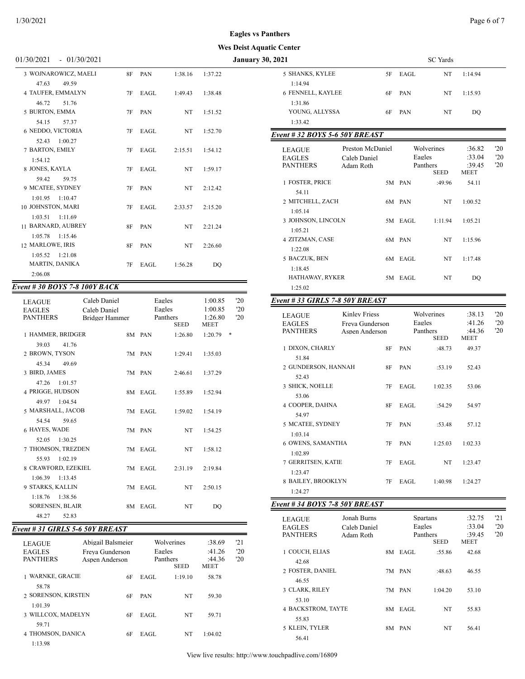#### **Eagles vs Panthers**

# **Wes Deist Aquatic Center**

|           |      |         |         | <b>January 30, 2021</b>        | <b>SC</b> Yards                                                                                                                                                                                                                                                                       |
|-----------|------|---------|---------|--------------------------------|---------------------------------------------------------------------------------------------------------------------------------------------------------------------------------------------------------------------------------------------------------------------------------------|
| 8F        | PAN  | 1:38.16 | 1:37.22 | 5 SHANKS, KYLEE<br>5F          | EAGL<br>NT                                                                                                                                                                                                                                                                            |
|           |      |         |         | 1:14.94                        |                                                                                                                                                                                                                                                                                       |
| 7F        | EAGL | 1:49.43 | 1:38.48 | 6 FENNELL, KAYLEE<br>6F        | NT<br>PAN                                                                                                                                                                                                                                                                             |
|           |      |         |         | 1:31.86                        |                                                                                                                                                                                                                                                                                       |
| 7F        | PAN  | NT      | 1:51.52 | YOUNG, ALLYSSA<br>6F           | NT<br>PAN                                                                                                                                                                                                                                                                             |
|           |      |         |         | 1:33.42                        |                                                                                                                                                                                                                                                                                       |
| 7F        | EAGL | NT      | 1:52.70 | Event # 32 BOYS 5-6 50Y BREAST |                                                                                                                                                                                                                                                                                       |
|           |      |         |         |                                |                                                                                                                                                                                                                                                                                       |
| 7F        | EAGL | 2:15.51 | 1:54.12 |                                | Wolverines                                                                                                                                                                                                                                                                            |
|           |      |         |         |                                | Eagles                                                                                                                                                                                                                                                                                |
| 7F        | EAGL | NT      | 1:59.17 |                                | Panthers<br><b>SEED</b>                                                                                                                                                                                                                                                               |
|           |      |         |         |                                | 5M PAN<br>:49.96                                                                                                                                                                                                                                                                      |
| 7F        | PAN  | NT      | 2:12.42 |                                |                                                                                                                                                                                                                                                                                       |
|           |      |         |         |                                | 6M PAN<br>NT                                                                                                                                                                                                                                                                          |
| 7F        | EAGL | 2:33.57 | 2:15.20 |                                |                                                                                                                                                                                                                                                                                       |
|           |      |         |         |                                | 5M EAGL<br>1:11.94                                                                                                                                                                                                                                                                    |
| 8F        | PAN  | NT      | 2:21.24 |                                |                                                                                                                                                                                                                                                                                       |
|           |      |         |         |                                | NT                                                                                                                                                                                                                                                                                    |
| <b>8F</b> | PAN  | NT      | 2:26.60 |                                |                                                                                                                                                                                                                                                                                       |
|           |      |         |         |                                | 6M EAGL<br>NT                                                                                                                                                                                                                                                                         |
| 7F        | EAGL | 1:56.28 | DQ      |                                |                                                                                                                                                                                                                                                                                       |
|           |      |         |         |                                | 5M EAGL<br>NT                                                                                                                                                                                                                                                                         |
|           |      |         |         |                                | Preston McDaniel<br><b>LEAGUE</b><br><b>EAGLES</b><br>Caleb Daniel<br><b>PANTHERS</b><br>Adam Roth<br>1 FOSTER, PRICE<br>54.11<br>2 MITCHELL, ZACH<br>1:05.14<br>3 JOHNSON, LINCOLN<br>1:05.21<br>4 ZITZMAN, CASE<br>6M PAN<br>1:22.08<br>5 BACZUK, BEN<br>1:18.45<br>HATHAWAY, RYKER |

# *Event # 30 BOYS 7-8 100Y BACK*

| <b>LEAGUE</b><br><b>EAGLES</b><br><b>PANTHERS</b> | Caleb Daniel<br>Caleb Daniel<br><b>Bridger Hammer</b> |         | Eagles<br>Eagles<br>Panthers<br><b>SEED</b> | 1:00.85<br>1:00.85<br>1:26.80<br><b>MEET</b> | '20<br>'20<br>'20 |
|---------------------------------------------------|-------------------------------------------------------|---------|---------------------------------------------|----------------------------------------------|-------------------|
| 1 HAMMER, BRIDGER                                 |                                                       | 8M PAN  | 1:26.80                                     | 1:20.79                                      | *                 |
| 39.03<br>41.76                                    |                                                       |         |                                             |                                              |                   |
| 2 BROWN, TYSON                                    |                                                       | 7M PAN  | 1:29.41                                     | 1:35.03                                      |                   |
| 45.34<br>49.69                                    |                                                       |         |                                             |                                              |                   |
| 3 BIRD, JAMES                                     |                                                       | 7M PAN  | 2:46.61                                     | 1:37.29                                      |                   |
| 1:01.57<br>47.26                                  |                                                       |         |                                             |                                              |                   |
| 4 PRIGGE, HUDSON                                  |                                                       | 8M EAGL | 1:55.89                                     | 1:52.94                                      |                   |
| 49.97 1:04.54                                     |                                                       |         |                                             |                                              |                   |
| 5 MARSHALL, JACOB                                 |                                                       | 7M EAGL | 1:59.02                                     | 1:54.19                                      |                   |
| 54.54<br>59.65                                    |                                                       |         |                                             |                                              |                   |
| 6 HAYES, WADE                                     |                                                       | 7M PAN  | NT                                          | 1:54.25                                      |                   |
| 1:30.25<br>52.05<br>7 THOMSON, TREZDEN            |                                                       | 7M EAGL |                                             |                                              |                   |
| 1:02.19<br>55.93                                  |                                                       |         | NT                                          | 1:58.12                                      |                   |
| 8 CRAWFORD, EZEKIEL                               |                                                       | 7M EAGL | 2:31.19                                     | 2:19.84                                      |                   |
| $1:06.39$ $1:13.45$                               |                                                       |         |                                             |                                              |                   |
| 9 STARKS, KALLIN                                  |                                                       | 7M EAGL | NT.                                         | 2:50.15                                      |                   |
| 1:18.76 1:38.56                                   |                                                       |         |                                             |                                              |                   |
| <b>SORENSEN, BLAIR</b>                            |                                                       | 8M EAGL | NT                                          | DO                                           |                   |
| 48.27<br>52.83                                    |                                                       |         |                                             |                                              |                   |

# *Event # 31 GIRLS 5-6 50Y BREAST*

| <b>LEAGUE</b><br><b>EAGLES</b><br><b>PANTHERS</b> | Abigail Balsmeier<br>Freva Gunderson<br>Aspen Anderson | Wolverines<br>Eagles<br>Panthers<br><b>SEED</b> |         | :38.69<br>:41.26<br>:44.36<br><b>MEET</b> | 121<br>'20<br>'20 |
|---------------------------------------------------|--------------------------------------------------------|-------------------------------------------------|---------|-------------------------------------------|-------------------|
| <b>WARNKE, GRACIE</b>                             | 6F                                                     | EAGL                                            | 1:19.10 | 58.78                                     |                   |
| 58.78                                             |                                                        |                                                 |         |                                           |                   |
| 2 SORENSON, KIRSTEN                               | 6F                                                     | <b>PAN</b>                                      | NT      | 59.30                                     |                   |
| 1:01.39                                           |                                                        |                                                 |         |                                           |                   |
| 3 WILLCOX, MADELYN                                | 6F                                                     | EAGL                                            | NT      | 59.71                                     |                   |
| 59.71                                             |                                                        |                                                 |         |                                           |                   |
| 4 THOMSON, DANICA                                 | 6F                                                     | EAGL                                            | NT      | 1:04.02                                   |                   |
| 1:13.98                                           |                                                        |                                                 |         |                                           |                   |

| ic Center                                  |                                                           |    |                  |                                |                                    |                                |                                           |                           |
|--------------------------------------------|-----------------------------------------------------------|----|------------------|--------------------------------|------------------------------------|--------------------------------|-------------------------------------------|---------------------------|
| 2021                                       |                                                           |    |                  | <b>SC</b> Yards                |                                    |                                |                                           |                           |
| 5 SHANKS, KYLEE                            |                                                           | 5F | EAGL             | NT                             | 1:14.94                            |                                |                                           |                           |
| 1:14.94<br>6 FENNELL, KAYLEE               |                                                           | 6F | PAN              | NT                             | 1:15.93                            |                                |                                           |                           |
| 1:31.86<br>YOUNG, ALLYSSA                  |                                                           | 6F | PAN              | NT                             | DQ                                 |                                |                                           |                           |
| 1:33.42                                    |                                                           |    |                  |                                |                                    |                                |                                           |                           |
| Event # 32 BOYS 5-6 50Y BREAST             |                                                           |    |                  |                                |                                    |                                |                                           |                           |
| LEAGUE<br><b>EAGLES</b><br><b>PANTHERS</b> | Caleb Daniel<br>Adam Roth                                 |    | Preston McDaniel |                                | Eagles                             | Wolverines<br>Panthers<br>SEED | :36.82<br>:33.04<br>:39.45<br><b>MEET</b> | 20<br>'20<br>$20^{\circ}$ |
| 1 FOSTER, PRICE<br>54.11                   |                                                           |    | 5M PAN           | :49.96                         | 54.11                              |                                |                                           |                           |
| 2 MITCHELL, ZACH<br>1:05.14                |                                                           |    | 6M PAN           | NT                             | 1:00.52                            |                                |                                           |                           |
| 3 JOHNSON, LINCOLN<br>1:05.21              |                                                           |    | 5M EAGL          | 1:11.94                        | 1:05.21                            |                                |                                           |                           |
| 4 ZITZMAN, CASE<br>1:22.08                 |                                                           |    | 6M PAN           | NT                             | 1:15.96                            |                                |                                           |                           |
| 5 BACZUK, BEN<br>1:18.45                   |                                                           | 6М | EAGL             | NT                             | 1:17.48                            |                                |                                           |                           |
| HATHAWAY, RYKER                            |                                                           |    | 5M EAGL          | NT                             | DQ                                 |                                |                                           |                           |
| 1:25.02<br>Event # 33 GIRLS 7-8 50Y BREAST |                                                           |    |                  |                                |                                    |                                |                                           |                           |
|                                            |                                                           |    |                  |                                |                                    |                                |                                           |                           |
| LEAGUE<br><b>EAGLES</b><br><b>PANTHERS</b> | <b>Kinley Friess</b><br>Freya Gunderson<br>Aspen Anderson |    | Eagles           | Wolverines<br>Panthers<br>SEED | :38.13<br>:41.26<br>:44.36<br>MEET | '20<br>'20<br>20               |                                           |                           |
| 1 DIXON, CHARLY                            |                                                           | 8F | PAN              | :48.73                         | 49.37                              |                                |                                           |                           |
| 51.84<br>2 GUNDERSON, HANNAH               |                                                           | 8F | PAN              | :53.19                         | 52.43                              |                                |                                           |                           |
| 52.43<br>3 SHICK, NOELLE                   |                                                           | 7F | EAGL             | 1:02.35                        | 53.06                              |                                |                                           |                           |
| 53.06<br>4 COOPER, DAHNA                   |                                                           | 8F | EAGL             | :54.29                         | 54.97                              |                                |                                           |                           |
| 54.97<br>5 MCATEE, SYDNEY                  |                                                           | 7F | PAN              | :53.48                         | 57.12                              |                                |                                           |                           |
| 1:03.14<br>6 OWENS, SAMANTHA               |                                                           | 7F | PAN              | 1:25.03                        | 1:02.33                            |                                |                                           |                           |
| 1:02.89<br>7 GERRITSEN, KATIE<br>1:23.47   |                                                           | 7F | EAGL             | NT                             | 1:23.47                            |                                |                                           |                           |
| 8 BAILEY, BROOKLYN<br>1:24.27              |                                                           | 7F | EAGL             | 1:40.98                        | 1:24.27                            |                                |                                           |                           |
| Event # 34 BOYS 7-8 50Y BREAST             |                                                           |    |                  |                                |                                    |                                |                                           |                           |
|                                            |                                                           |    |                  | <b>Spartans</b>                |                                    | 21                             |                                           |                           |
| LEAGUE<br>EAGLES<br>PANTHERS               | Jonah Burns<br>Caleb Daniel<br>Adam Roth                  |    | Eagles           | Panthers<br>SEED               | :32.75<br>:33.04<br>:39.45<br>MEET | $20^{\circ}$<br>$20^{\circ}$   |                                           |                           |
| 1 COUCH, ELIAS<br>42.68                    |                                                           |    | 8M EAGL          | :55.86                         | 42.68                              |                                |                                           |                           |
| 2 FOSTER, DANIEL<br>46.55                  |                                                           |    | 7M PAN           | :48.63                         | 46.55                              |                                |                                           |                           |
| 3 CLARK, RILEY<br>53.10                    |                                                           |    | 7M PAN           | 1:04.20                        | 53.10                              |                                |                                           |                           |
| 4 BACKSTROM, TAYTE<br>55.83                |                                                           |    | 8M EAGL          | NT                             | 55.83                              |                                |                                           |                           |
|                                            |                                                           |    |                  |                                |                                    |                                |                                           |                           |

5 KLEIN, TYLER 8M PAN NT 56.41

56.41